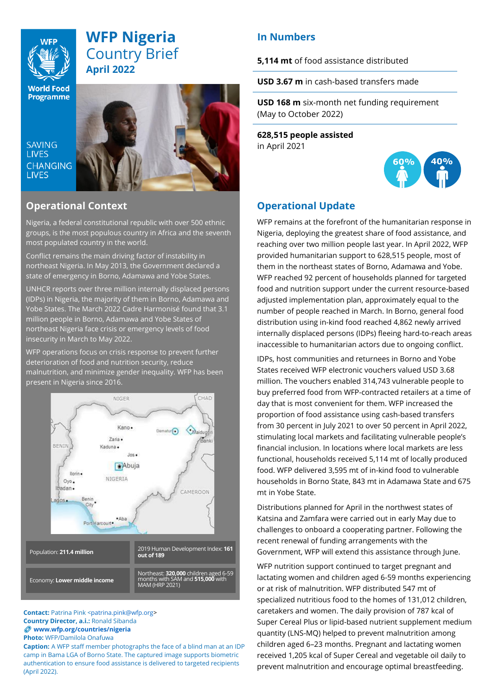# **WEE**

## **WFP Nigeria** Country Brief **April 2022**

**World Food Programme** 

**SAVING LIVES CHANGING** 



## **Operational Context**

Nigeria, a federal constitutional republic with over 500 ethnic groups, is the most populous country in Africa and the seventh most populated country in the world.

Conflict remains the main driving factor of instability in northeast Nigeria. In May 2013, the Government declared a state of emergency in Borno, Adamawa and Yobe States.

UNHCR reports over three million internally displaced persons (IDPs) in Nigeria, the majority of them in Borno, Adamawa and Yobe States. The March 2022 Cadre Harmonisé found that 3.1 million people in Borno, Adamawa and Yobe States of northeast Nigeria face crisis or emergency levels of food insecurity in March to May 2022.

WFP operations focus on crisis response to prevent further deterioration of food and nutrition security, reduce malnutrition, and minimize gender inequality. WFP has been present in Nigeria since 2016.



**Contact: Patrina Pink [<patrina.pink@wfp.org>](mailto:patrina.pink@wfp.org) Country Director, a.i.:** Ronald Sibanda **[www.wfp.org/countries/nigeria](http://www.wfp.org/countries/nigeria) Photo:** WFP/Damilola Onafuwa

**Caption:** A WFP staff member photographs the face of a blind man at an IDP camp in Bama LGA of Borno State. The captured image supports biometric authentication to ensure food assistance is delivered to targeted recipients (April 2022).

## **In Numbers**

**5,114 mt** of food assistance distributed

**USD 3.67 m** in cash-based transfers made

**USD 168 m** six-month net funding requirement (May to October 2022)

**628,515 people assisted** in April 2021



## **Operational Update**

WFP remains at the forefront of the humanitarian response in Nigeria, deploying the greatest share of food assistance, and reaching over two million people last year. In April 2022, WFP provided humanitarian support to 628,515 people, most of them in the northeast states of Borno, Adamawa and Yobe. WFP reached 92 percent of households planned for targeted food and nutrition support under the current resource-based adjusted implementation plan, approximately equal to the number of people reached in March. In Borno, general food distribution using in-kind food reached 4,862 newly arrived internally displaced persons (IDPs) fleeing hard-to-reach areas inaccessible to humanitarian actors due to ongoing conflict.

IDPs, host communities and returnees in Borno and Yobe States received WFP electronic vouchers valued USD 3.68 million. The vouchers enabled 314,743 vulnerable people to buy preferred food from WFP-contracted retailers at a time of day that is most convenient for them. WFP increased the proportion of food assistance using cash-based transfers from 30 percent in July 2021 to over 50 percent in April 2022, stimulating local markets and facilitating vulnerable people's financial inclusion. In locations where local markets are less functional, households received 5,114 mt of locally produced food. WFP delivered 3,595 mt of in-kind food to vulnerable households in Borno State, 843 mt in Adamawa State and 675 mt in Yobe State.

Distributions planned for April in the northwest states of Katsina and Zamfara were carried out in early May due to challenges to onboard a cooperating partner. Following the recent renewal of funding arrangements with the Government, WFP will extend this assistance through June.

WFP nutrition support continued to target pregnant and lactating women and children aged 6-59 months experiencing or at risk of malnutrition. WFP distributed 547 mt of specialized nutritious food to the homes of 131,012 children, caretakers and women. The daily provision of 787 kcal of Super Cereal Plus or lipid-based nutrient supplement medium quantity (LNS-MQ) helped to prevent malnutrition among children aged 6–23 months. Pregnant and lactating women received 1,205 kcal of Super Cereal and vegetable oil daily to prevent malnutrition and encourage optimal breastfeeding.